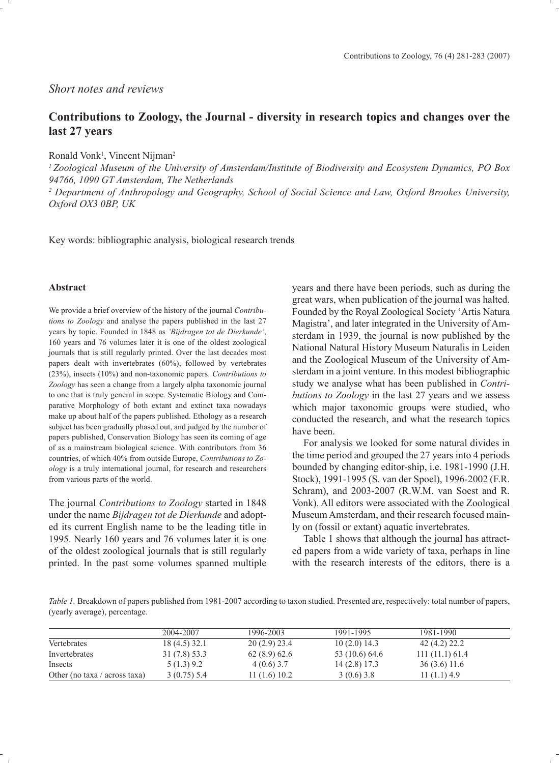## *Short notes and reviews*

## **Contributions to Zoology, the Journal - diversity in research topics and changes over the last 27 years**

Ronald Vonk<sup>1</sup>, Vincent Nijman<sup>2</sup>

*1 Zoological Museum of the University of Amsterdam/Institute of Biodiversity and Ecosystem Dynamics, PO Box 94766, 1090 GT Amsterdam, The Netherlands*

<sup>2</sup> Department of Anthropology and Geography, School of Social Science and Law, Oxford Brookes University, *Oxford OX3 0BP, UK*

Key words: bibliographic analysis, biological research trends

## **Abstract**

We provide a brief overview of the history of the journal *Contributions to Zoology* and analyse the papers published in the last 27 years by topic. Founded in 1848 as *'Bijdragen tot de Dierkunde'*, 160 years and 76 volumes later it is one of the oldest zoological journals that is still regularly printed. Over the last decades most papers dealt with invertebrates (60%), followed by vertebrates (23%), insects (10%) and non-taxonomic papers. *Contributions to Zoology* has seen a change from a largely alpha taxonomic journal to one that is truly general in scope. Systematic Biology and Comparative Morphology of both extant and extinct taxa nowadays make up about half of the papers published. Ethology as a research subject has been gradually phased out, and judged by the number of papers published, Conservation Biology has seen its coming of age of as a mainstream biological science. With contributors from 36 countries, of which 40% from outside Europe, *Contributions to Zoology* is a truly international journal, for research and researchers from various parts of the world.

The journal *Contributions to Zoology* started in 1848 under the name *Bijdragen tot de Dierkunde* and adopted its current English name to be the leading title in 1995. Nearly 160 years and 76 volumes later it is one of the oldest zoological journals that is still regularly printed. In the past some volumes spanned multiple years and there have been periods, such as during the great wars, when publication of the journal was halted. Founded by the Royal Zoological Society 'Artis Natura Magistra', and later integrated in the University of Amsterdam in 1939, the journal is now published by the National Natural History Museum Naturalis in Leiden and the Zoological Museum of the University of Amsterdam in a joint venture. In this modest bibliographic study we analyse what has been published in *Contributions to Zoology* in the last 27 years and we assess which major taxonomic groups were studied, who conducted the research, and what the research topics have been.

 For analysis we looked for some natural divides in the time period and grouped the 27 years into 4 periods bounded by changing editor-ship, i.e. 1981-1990 (J.H. Stock), 1991-1995 (S. van der Spoel), 1996-2002 (F.R. Schram), and 2003-2007 (R.W.M. van Soest and R. Vonk). All editors were associated with the Zoological Museum Amsterdam, and their research focused mainly on (fossil or extant) aquatic invertebrates.

 Table 1 shows that although the journal has attracted papers from a wide variety of taxa, perhaps in line with the research interests of the editors, there is a

*Table 1.* Breakdown of papers published from 1981-2007 according to taxon studied. Presented are, respectively: total number of papers, (yearly average), percentage.

|                               | 2004-2007     | 1996-2003   | 1991-1995      | 1981-1990     |  |
|-------------------------------|---------------|-------------|----------------|---------------|--|
| Vertebrates                   | 18(4.5)32.1   | 20(2.9)23.4 | 10(2.0)14.3    | 42 (4.2) 22.2 |  |
| Invertebrates                 | 31 (7.8) 53.3 | 62(8.9)62.6 | 53 (10.6) 64.6 | 111(11.1)61.4 |  |
| Insects                       | 5(1.3)9.2     | 4(0.6)3.7   | 14 (2.8) 17.3  | 36 (3.6) 11.6 |  |
| Other (no taxa / across taxa) | $3(0.75)$ 5.4 | 11(1.6)10.2 | 3(0.6)3.8      | 11(1.1)4.9    |  |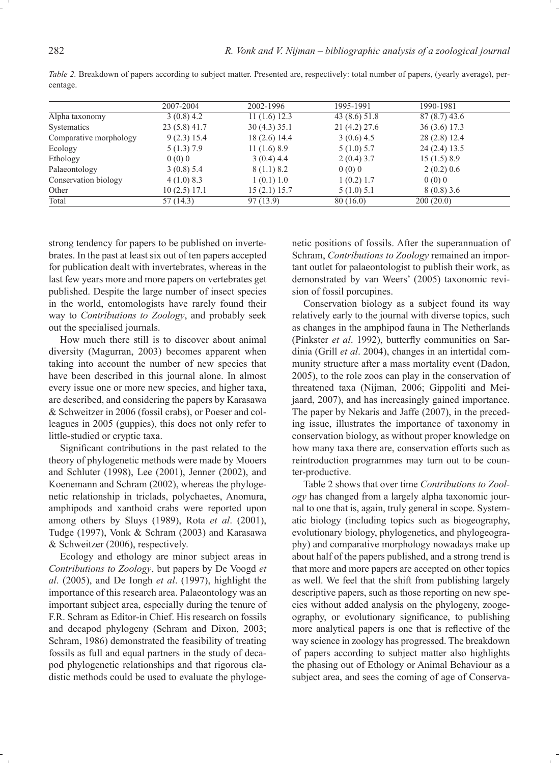|                        | 2007-2004     | 2002-1996    | 1995-1991   | 1990-1981     |  |
|------------------------|---------------|--------------|-------------|---------------|--|
| Alpha taxonomy         | 3(0.8)4.2     | 11(1.6)12.3  | 43(8.6)51.8 | 87(8.7)43.6   |  |
| Systematics            | 23 (5.8) 41.7 | 30(4.3)35.1  | 21(4.2)27.6 | 36(3.6)17.3   |  |
| Comparative morphology | 9(2.3) 15.4   | 18(2.6)14.4  | 3(0.6)4.5   | 28 (2.8) 12.4 |  |
| Ecology                | $5(1.3)$ 7.9  | 11(1.6)8.9   | 5(1.0) 5.7  | 24(2.4)13.5   |  |
| Ethology               | 0(0)0         | 3(0.4)4.4    | 2(0.4)3.7   | 15(1.5)8.9    |  |
| Palaeontology          | 3(0.8)5.4     | 8(1.1)8.2    | 0(0)0       | 2(0.2)0.6     |  |
| Conservation biology   | 4(1.0)8.3     | 1(0.1)1.0    | 1(0.2) 1.7  | 0(0)0         |  |
| Other                  | 10(2.5) 17.1  | 15(2.1) 15.7 | 5(1.0) 5.1  | 8(0.8)3.6     |  |
| Total                  | 57(14.3)      | 97 (13.9)    | 80(16.0)    | 200(20.0)     |  |

*Table 2.* Breakdown of papers according to subject matter. Presented are, respectively: total number of papers, (yearly average), percentage.

strong tendency for papers to be published on invertebrates. In the past at least six out of ten papers accepted for publication dealt with invertebrates, whereas in the last few years more and more papers on vertebrates get published. Despite the large number of insect species in the world, entomologists have rarely found their way to *Contributions to Zoology*, and probably seek out the specialised journals.

 How much there still is to discover about animal diversity (Magurran, 2003) becomes apparent when taking into account the number of new species that have been described in this journal alone. In almost every issue one or more new species, and higher taxa, are described, and considering the papers by Karasawa & Schweitzer in 2006 (fossil crabs), or Poeser and colleagues in 2005 (guppies), this does not only refer to little-studied or cryptic taxa.

Significant contributions in the past related to the theory of phylogenetic methods were made by Mooers and Schluter (1998), Lee (2001), Jenner (2002), and Koenemann and Schram (2002), whereas the phylogenetic relationship in triclads, polychaetes, Anomura, amphipods and xanthoid crabs were reported upon among others by Sluys (1989), Rota *et al*. (2001), Tudge (1997), Vonk & Schram (2003) and Karasawa & Schweitzer (2006), respectively.

 Ecology and ethology are minor subject areas in *Contributions to Zoology*, but papers by De Voogd *et al*. (2005), and De Iongh *et al*. (1997), highlight the importance of this research area. Palaeontology was an important subject area, especially during the tenure of F.R. Schram as Editor-in Chief. His research on fossils and decapod phylogeny (Schram and Dixon, 2003; Schram, 1986) demonstrated the feasibility of treating fossils as full and equal partners in the study of decapod phylogenetic relationships and that rigorous cladistic methods could be used to evaluate the phylogenetic positions of fossils. After the superannuation of Schram, *Contributions to Zoology* remained an important outlet for palaeontologist to publish their work, as demonstrated by van Weers' (2005) taxonomic revision of fossil porcupines.

 Conservation biology as a subject found its way relatively early to the journal with diverse topics, such as changes in the amphipod fauna in The Netherlands (Pinkster *et al.* 1992), butterfly communities on Sardinia (Grill *et al*. 2004), changes in an intertidal community structure after a mass mortality event (Dadon, 2005), to the role zoos can play in the conservation of threatened taxa (Nijman, 2006; Gippoliti and Meijaard, 2007), and has increasingly gained importance. The paper by Nekaris and Jaffe (2007), in the preceding issue, illustrates the importance of taxonomy in conservation biology, as without proper knowledge on how many taxa there are, conservation efforts such as reintroduction programmes may turn out to be counter-productive.

 Table 2 shows that over time *Contributions to Zoology* has changed from a largely alpha taxonomic journal to one that is, again, truly general in scope. Systematic biology (including topics such as biogeography, evolutionary biology, phylogenetics, and phylogeography) and comparative morphology nowadays make up about half of the papers published, and a strong trend is that more and more papers are accepted on other topics as well. We feel that the shift from publishing largely descriptive papers, such as those reporting on new species without added analysis on the phylogeny, zoogeography, or evolutionary significance, to publishing more analytical papers is one that is reflective of the way science in zoology has progressed. The breakdown of papers according to subject matter also highlights the phasing out of Ethology or Animal Behaviour as a subject area, and sees the coming of age of Conserva